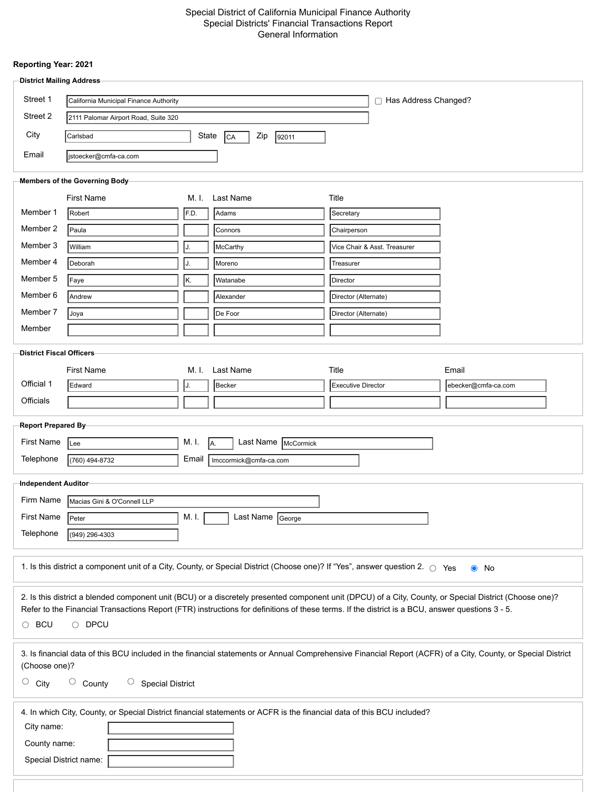#### Special District of California Municipal Finance Authority Special Districts' Financial Transactions Report General Information

#### **Reporting Year: 2021**

| <b>District Mailing Address</b>                                                                                                                                               |                                                                  |       |                                                                                                                                                 |                           |                              |                                                                                                                                                         |
|-------------------------------------------------------------------------------------------------------------------------------------------------------------------------------|------------------------------------------------------------------|-------|-------------------------------------------------------------------------------------------------------------------------------------------------|---------------------------|------------------------------|---------------------------------------------------------------------------------------------------------------------------------------------------------|
| Street 1                                                                                                                                                                      | □ Has Address Changed?<br>California Municipal Finance Authority |       |                                                                                                                                                 |                           |                              |                                                                                                                                                         |
| Street 2                                                                                                                                                                      | 2111 Palomar Airport Road, Suite 320                             |       |                                                                                                                                                 |                           |                              |                                                                                                                                                         |
| City                                                                                                                                                                          | State<br>Carlsbad<br>Zip<br> CA<br>92011                         |       |                                                                                                                                                 |                           |                              |                                                                                                                                                         |
| Email                                                                                                                                                                         |                                                                  |       |                                                                                                                                                 |                           |                              |                                                                                                                                                         |
|                                                                                                                                                                               | jstoecker@cmfa-ca.com                                            |       |                                                                                                                                                 |                           |                              |                                                                                                                                                         |
|                                                                                                                                                                               | Members of the Governing Body-                                   |       |                                                                                                                                                 |                           |                              |                                                                                                                                                         |
|                                                                                                                                                                               | <b>First Name</b>                                                | M. I. | Last Name                                                                                                                                       | Title                     |                              |                                                                                                                                                         |
| Member 1                                                                                                                                                                      | Robert                                                           | F.D.  | Adams                                                                                                                                           | Secretary                 |                              |                                                                                                                                                         |
| Member 2                                                                                                                                                                      | Paula                                                            |       | Connors                                                                                                                                         | Chairperson               |                              |                                                                                                                                                         |
| Member 3                                                                                                                                                                      | William                                                          | J.    | McCarthy                                                                                                                                        |                           | Vice Chair & Asst. Treasurer |                                                                                                                                                         |
| Member 4                                                                                                                                                                      | Deborah                                                          | IJ.   | Moreno                                                                                                                                          | Treasurer                 |                              |                                                                                                                                                         |
| Member 5                                                                                                                                                                      | Faye                                                             | lĸ.   | Watanabe                                                                                                                                        | Director                  |                              |                                                                                                                                                         |
| Member 6                                                                                                                                                                      | Andrew                                                           |       | Alexander                                                                                                                                       | Director (Alternate)      |                              |                                                                                                                                                         |
| Member 7                                                                                                                                                                      | Joya                                                             |       | De Foor                                                                                                                                         | Director (Alternate)      |                              |                                                                                                                                                         |
| Member                                                                                                                                                                        |                                                                  |       |                                                                                                                                                 |                           |                              |                                                                                                                                                         |
| <b>District Fiscal Officers</b>                                                                                                                                               |                                                                  |       |                                                                                                                                                 |                           |                              |                                                                                                                                                         |
|                                                                                                                                                                               | <b>First Name</b>                                                | M. I. | Last Name                                                                                                                                       | Title                     |                              | Email                                                                                                                                                   |
| Official 1                                                                                                                                                                    | Edward                                                           | IJ.   | Becker                                                                                                                                          | <b>Executive Director</b> |                              | ebecker@cmfa-ca.com                                                                                                                                     |
| Officials                                                                                                                                                                     |                                                                  |       |                                                                                                                                                 |                           |                              |                                                                                                                                                         |
|                                                                                                                                                                               |                                                                  |       |                                                                                                                                                 |                           |                              |                                                                                                                                                         |
| Report Prepared By-                                                                                                                                                           |                                                                  |       |                                                                                                                                                 |                           |                              |                                                                                                                                                         |
| First Name                                                                                                                                                                    | Lee                                                              | M. I. | Last Name McCormick<br>IA.                                                                                                                      |                           |                              |                                                                                                                                                         |
| Telephone                                                                                                                                                                     | (760) 494-8732                                                   | Email | Imccormick@cmfa-ca.com                                                                                                                          |                           |                              |                                                                                                                                                         |
| Independent Auditor-                                                                                                                                                          |                                                                  |       |                                                                                                                                                 |                           |                              |                                                                                                                                                         |
| Firm Name                                                                                                                                                                     | Macias Gini & O'Connell LLP                                      |       |                                                                                                                                                 |                           |                              |                                                                                                                                                         |
| First Name Peter                                                                                                                                                              |                                                                  | M. I. | Last Name George                                                                                                                                |                           |                              |                                                                                                                                                         |
| Telephone                                                                                                                                                                     | (949) 296-4303                                                   |       |                                                                                                                                                 |                           |                              |                                                                                                                                                         |
|                                                                                                                                                                               |                                                                  |       |                                                                                                                                                 |                           |                              |                                                                                                                                                         |
|                                                                                                                                                                               |                                                                  |       | 1. Is this district a component unit of a City, County, or Special District (Choose one)? If "Yes", answer question 2. 0 Yes                    |                           |                              | $\bullet$ No                                                                                                                                            |
|                                                                                                                                                                               |                                                                  |       |                                                                                                                                                 |                           |                              | 2. Is this district a blended component unit (BCU) or a discretely presented component unit (DPCU) of a City, County, or Special District (Choose one)? |
|                                                                                                                                                                               |                                                                  |       | Refer to the Financial Transactions Report (FTR) instructions for definitions of these terms. If the district is a BCU, answer questions 3 - 5. |                           |                              |                                                                                                                                                         |
| $\circ$ BCU<br>$\circ$ DPCU                                                                                                                                                   |                                                                  |       |                                                                                                                                                 |                           |                              |                                                                                                                                                         |
|                                                                                                                                                                               |                                                                  |       |                                                                                                                                                 |                           |                              |                                                                                                                                                         |
| 3. Is financial data of this BCU included in the financial statements or Annual Comprehensive Financial Report (ACFR) of a City, County, or Special District<br>(Choose one)? |                                                                  |       |                                                                                                                                                 |                           |                              |                                                                                                                                                         |
| $\bigcirc$<br>O<br>$\bigcirc$<br><b>Special District</b><br>County<br>City                                                                                                    |                                                                  |       |                                                                                                                                                 |                           |                              |                                                                                                                                                         |
|                                                                                                                                                                               |                                                                  |       |                                                                                                                                                 |                           |                              |                                                                                                                                                         |
| 4. In which City, County, or Special District financial statements or ACFR is the financial data of this BCU included?                                                        |                                                                  |       |                                                                                                                                                 |                           |                              |                                                                                                                                                         |
| City name:                                                                                                                                                                    |                                                                  |       |                                                                                                                                                 |                           |                              |                                                                                                                                                         |
| County name:                                                                                                                                                                  |                                                                  |       |                                                                                                                                                 |                           |                              |                                                                                                                                                         |
| Special District name:                                                                                                                                                        |                                                                  |       |                                                                                                                                                 |                           |                              |                                                                                                                                                         |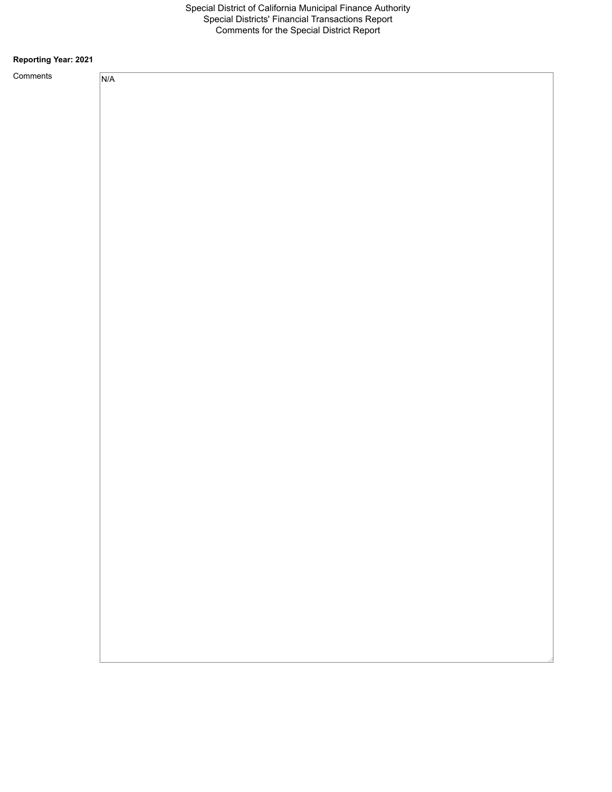#### **Reporting Year: 2021**

Comme

| ents | N/A |
|------|-----|
|      |     |
|      |     |
|      |     |
|      |     |
|      |     |
|      |     |
|      |     |
|      |     |
|      |     |
|      |     |
|      |     |
|      |     |
|      |     |
|      |     |
|      |     |
|      |     |
|      |     |
|      |     |
|      |     |
|      |     |
|      |     |
|      |     |
|      |     |
|      |     |
|      |     |
|      |     |
|      |     |
|      |     |
|      |     |
|      |     |
|      |     |
|      |     |
|      |     |
|      |     |
|      |     |
|      |     |
|      |     |
|      |     |
|      |     |
|      |     |
|      |     |
|      |     |
|      |     |
|      |     |
|      |     |
|      |     |
|      |     |
|      |     |
|      |     |
|      |     |
|      |     |
|      |     |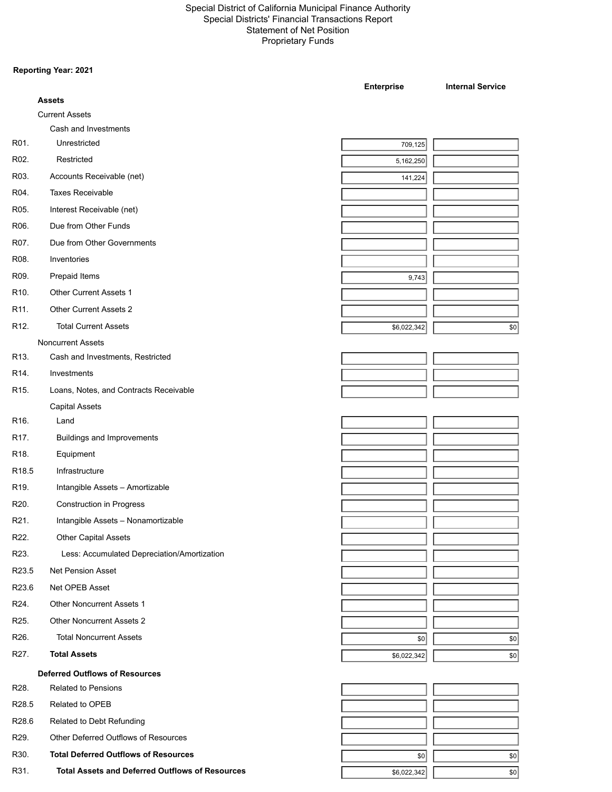#### Special District of California Municipal Finance Authority Special Districts' Financial Transactions Report Statement of Net Position Proprietary Funds

#### **Reporting Year: 2021**

|                   |                                                        | <b>Enterprise</b> | <b>Internal Service</b> |
|-------------------|--------------------------------------------------------|-------------------|-------------------------|
|                   | <b>Assets</b>                                          |                   |                         |
|                   | <b>Current Assets</b>                                  |                   |                         |
|                   | Cash and Investments                                   |                   |                         |
| R01.              | Unrestricted                                           | 709,125           |                         |
| R02.              | Restricted                                             | 5,162,250         |                         |
| R03.              | Accounts Receivable (net)                              | 141,224           |                         |
| R04.              | <b>Taxes Receivable</b>                                |                   |                         |
| R05.              | Interest Receivable (net)                              |                   |                         |
| R06.              | Due from Other Funds                                   |                   |                         |
| R07.              | Due from Other Governments                             |                   |                         |
| R08.              | Inventories                                            |                   |                         |
| R09.              | Prepaid Items                                          | 9,743             |                         |
| R <sub>10</sub>   | <b>Other Current Assets 1</b>                          |                   |                         |
| R11.              | <b>Other Current Assets 2</b>                          |                   |                         |
| R12.              | <b>Total Current Assets</b>                            | \$6,022,342       | \$0                     |
|                   | <b>Noncurrent Assets</b>                               |                   |                         |
| R13.              | Cash and Investments, Restricted                       |                   |                         |
| R14.              | Investments                                            |                   |                         |
| R <sub>15</sub>   | Loans, Notes, and Contracts Receivable                 |                   |                         |
|                   | <b>Capital Assets</b>                                  |                   |                         |
| R16.              | Land                                                   |                   |                         |
| R17.              | <b>Buildings and Improvements</b>                      |                   |                         |
| R18.              | Equipment                                              |                   |                         |
| R <sub>18.5</sub> | Infrastructure                                         |                   |                         |
| R19.              | Intangible Assets - Amortizable                        |                   |                         |
| R20.              | <b>Construction in Progress</b>                        |                   |                         |
| R21.              | Intangible Assets - Nonamortizable                     |                   |                         |
| R22.              | <b>Other Capital Assets</b>                            |                   |                         |
| R23.              | Less: Accumulated Depreciation/Amortization            |                   |                         |
| R23.5             | Net Pension Asset                                      |                   |                         |
| R23.6             | Net OPEB Asset                                         |                   |                         |
|                   |                                                        |                   |                         |
| R24.              | <b>Other Noncurrent Assets 1</b>                       |                   |                         |
| R25.              | <b>Other Noncurrent Assets 2</b>                       |                   |                         |
| R26.              | <b>Total Noncurrent Assets</b>                         | \$0               | $\$0$                   |
| R27.              | <b>Total Assets</b>                                    | \$6,022,342       | $\$0$                   |
|                   | <b>Deferred Outflows of Resources</b>                  |                   |                         |
| R28.              | <b>Related to Pensions</b>                             |                   |                         |
| R28.5             | Related to OPEB                                        |                   |                         |
| R28.6             | Related to Debt Refunding                              |                   |                         |
| R29.              | Other Deferred Outflows of Resources                   |                   |                         |
| R30.              | <b>Total Deferred Outflows of Resources</b>            | \$0               | $ 10\rangle$            |
| R31.              | <b>Total Assets and Deferred Outflows of Resources</b> | \$6,022,342       | $ 10\rangle$            |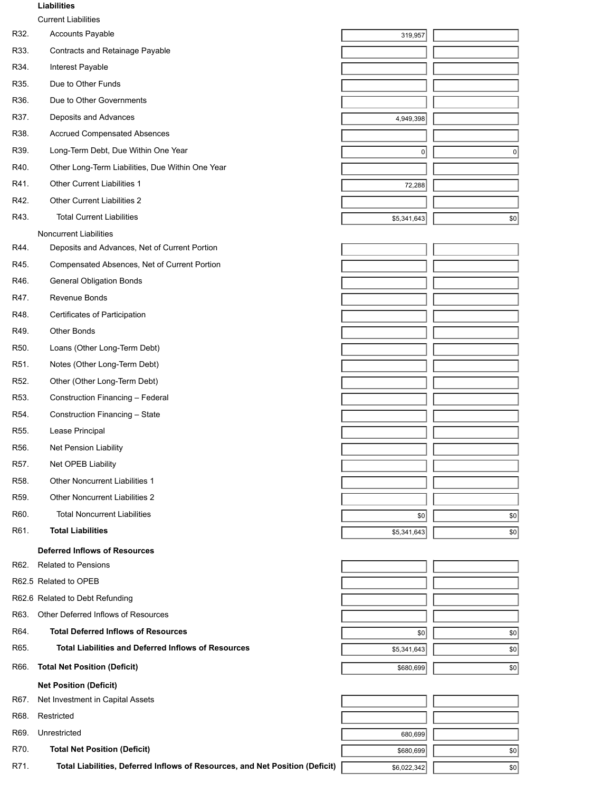#### **Liabilities**

|                   | <b>Current Liabilities</b>                                 |             |           |
|-------------------|------------------------------------------------------------|-------------|-----------|
| R32.              | Accounts Payable                                           | 319,957     |           |
| R33.              | Contracts and Retainage Payable                            |             |           |
| R34.              | Interest Payable                                           |             |           |
| R35.              | Due to Other Funds                                         |             |           |
| R36.              | Due to Other Governments                                   |             |           |
| R37.              | Deposits and Advances                                      | 4,949,398   |           |
| R38.              | <b>Accrued Compensated Absences</b>                        |             |           |
| R39.              | Long-Term Debt, Due Within One Year                        | $\mathbf 0$ | $\pmb{0}$ |
| R40.              | Other Long-Term Liabilities, Due Within One Year           |             |           |
| R41.              | <b>Other Current Liabilities 1</b>                         | 72,288      |           |
| R42.              | <b>Other Current Liabilities 2</b>                         |             |           |
| R43.              | <b>Total Current Liabilities</b>                           | \$5,341,643 | \$0       |
|                   | <b>Noncurrent Liabilities</b>                              |             |           |
| R44.              | Deposits and Advances, Net of Current Portion              |             |           |
| R45.              | Compensated Absences, Net of Current Portion               |             |           |
| R46.              | <b>General Obligation Bonds</b>                            |             |           |
| R47.              | Revenue Bonds                                              |             |           |
| R48.              | Certificates of Participation                              |             |           |
| R49.              | Other Bonds                                                |             |           |
| R <sub>50</sub>   | Loans (Other Long-Term Debt)                               |             |           |
| R51.              | Notes (Other Long-Term Debt)                               |             |           |
| R <sub>52</sub> . | Other (Other Long-Term Debt)                               |             |           |
| R <sub>53</sub>   | Construction Financing - Federal                           |             |           |
| R54.              | Construction Financing - State                             |             |           |
| R <sub>55</sub> . | Lease Principal                                            |             |           |
| R56.              | Net Pension Liability                                      |             |           |
| R57.              | Net OPEB Liability                                         |             |           |
| R <sub>58</sub>   | <b>Other Noncurrent Liabilities 1</b>                      |             |           |
| R <sub>59</sub>   | <b>Other Noncurrent Liabilities 2</b>                      |             |           |
| R60.              | <b>Total Noncurrent Liabilities</b>                        | \$0         | \$0       |
| R61.              | <b>Total Liabilities</b>                                   | \$5,341,643 | \$0       |
|                   | <b>Deferred Inflows of Resources</b>                       |             |           |
| R62.              | <b>Related to Pensions</b>                                 |             |           |
|                   | R62.5 Related to OPEB                                      |             |           |
|                   | R62.6 Related to Debt Refunding                            |             |           |
| R63.              | Other Deferred Inflows of Resources                        |             |           |
| R64.              | <b>Total Deferred Inflows of Resources</b>                 | \$0         | \$0       |
| R65.              | <b>Total Liabilities and Deferred Inflows of Resources</b> | \$5,341,643 | \$0       |
| R66.              | <b>Total Net Position (Deficit)</b>                        | \$680,699   | \$0       |
|                   | <b>Net Position (Deficit)</b>                              |             |           |
| R67.              | Net Investment in Capital Assets                           |             |           |
| R68.              | Restricted                                                 |             |           |
|                   |                                                            |             |           |

R71. Total Liabilities, Deferred Inflows of Resources, and Net Position (Deficit)  $\sqrt{\frac{1}{s_0(0.22,0.342)}}$ 

R69. Unrestricted 680,699

R70. **Total Net Position (Deficit)** \$680,699 **\$680,699** \$680,699 **\$1,000 \$00.**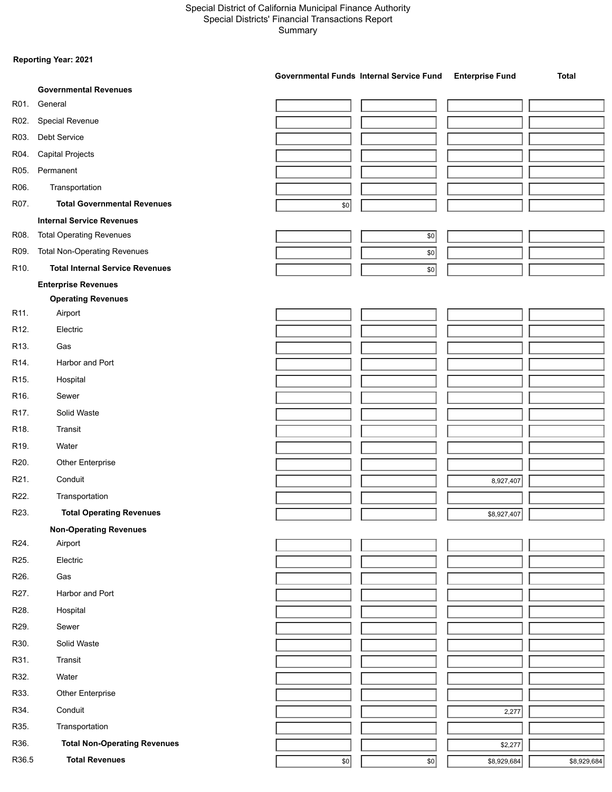#### Special District of California Municipal Finance Authority Special Districts' Financial Transactions Report Summary

#### **Reporting Year: 2021**

|                   |                                        | Governmental Funds Internal Service Fund |       | <b>Enterprise Fund</b> | <b>Total</b> |
|-------------------|----------------------------------------|------------------------------------------|-------|------------------------|--------------|
|                   | <b>Governmental Revenues</b>           |                                          |       |                        |              |
| R01.              | General                                |                                          |       |                        |              |
| R02.              | Special Revenue                        |                                          |       |                        |              |
| R03.              | Debt Service                           |                                          |       |                        |              |
| R04.              | <b>Capital Projects</b>                |                                          |       |                        |              |
| R05.              | Permanent                              |                                          |       |                        |              |
| R06.              | Transportation                         |                                          |       |                        |              |
| R07.              | <b>Total Governmental Revenues</b>     | $\$0$                                    |       |                        |              |
|                   | <b>Internal Service Revenues</b>       |                                          |       |                        |              |
| R08.              | <b>Total Operating Revenues</b>        |                                          | $$0$$ |                        |              |
| R09.              | <b>Total Non-Operating Revenues</b>    |                                          | \$0   |                        |              |
| R10.              | <b>Total Internal Service Revenues</b> |                                          | \$0   |                        |              |
|                   | <b>Enterprise Revenues</b>             |                                          |       |                        |              |
|                   | <b>Operating Revenues</b>              |                                          |       |                        |              |
| R11.              | Airport                                |                                          |       |                        |              |
| R12.              | Electric                               |                                          |       |                        |              |
| R13.              | Gas                                    |                                          |       |                        |              |
| R14.              | Harbor and Port                        |                                          |       |                        |              |
| R <sub>15</sub>   | Hospital                               |                                          |       |                        |              |
| R <sub>16</sub>   | Sewer                                  |                                          |       |                        |              |
| R17.              | Solid Waste                            |                                          |       |                        |              |
| R18.              | Transit                                |                                          |       |                        |              |
| R19.              | Water                                  |                                          |       |                        |              |
| R20.              | Other Enterprise                       |                                          |       |                        |              |
| R21.              | Conduit                                |                                          |       | 8,927,407              |              |
| R22.              | Transportation                         |                                          |       |                        |              |
| R23.              | <b>Total Operating Revenues</b>        |                                          |       | \$8,927,407            |              |
|                   | <b>Non-Operating Revenues</b>          |                                          |       |                        |              |
| R24.              | Airport                                |                                          |       |                        |              |
| R <sub>25</sub> . | Electric                               |                                          |       |                        |              |
| R <sub>26</sub> . | Gas                                    |                                          |       |                        |              |
| R27.              | Harbor and Port                        |                                          |       |                        |              |
| R28.              | Hospital                               |                                          |       |                        |              |
| R29.              | Sewer                                  |                                          |       |                        |              |
| R30.              | Solid Waste                            |                                          |       |                        |              |
| R31.              | Transit                                |                                          |       |                        |              |
| R32.              | Water                                  |                                          |       |                        |              |
| R33.              | Other Enterprise                       |                                          |       |                        |              |
| R34.              | Conduit                                |                                          |       |                        |              |
| R35.              | Transportation                         |                                          |       | 2,277                  |              |
| R36.              | <b>Total Non-Operating Revenues</b>    |                                          |       |                        |              |
|                   | <b>Total Revenues</b>                  |                                          |       | \$2,277                |              |
| R36.5             |                                        | \$0                                      | \$0   | \$8,929,684            | \$8,929,684  |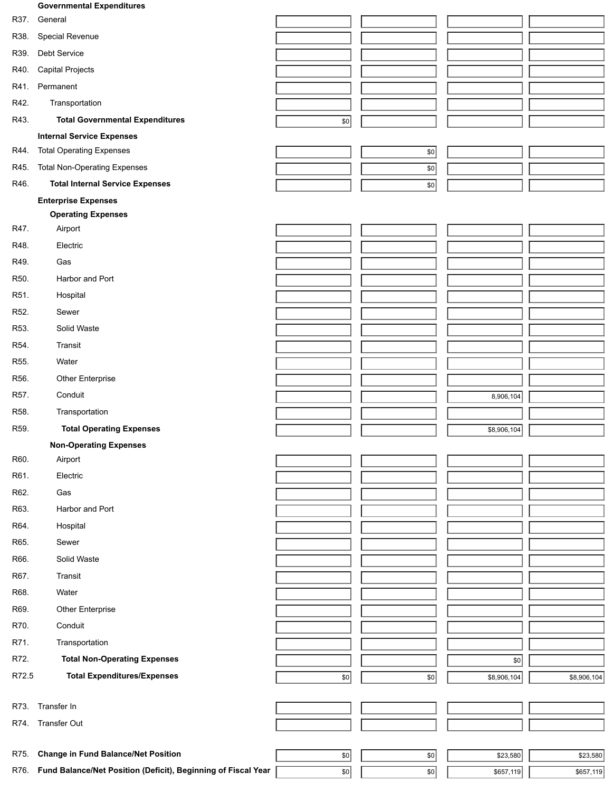## **Governmental Expenditures** R37. General R38. Special Revenue R39. Debt Service R40. Capital Projects R41. Permanent R42. Transportation R43. **Total Governmental Expenditures 1988 1998 1999 1999 1999 1999 1999 1999 1999 1999 1999 1999 1999 1999 1999 1999 1999 1999 1999 1999 1999 1999 1999 1999 1999 1999 Internal Service Expenses** R44. Total Operating Expenses \$0 R45. Total Non-Operating Expenses  $\overline{\hspace{1cm}}$  80 R46. **Total Internal Service Expenses**  $\sqrt{80}$ **Enterprise Expenses Operating Expenses** R47. Airport R48. Electric R49. Gas R50. Harbor and Port R51. Hospital R52. Sewer R53. Solid Waste R54. Transit R55. Water R56. Other Enterprise R57. Conduit 8,906,104 R58. Transportation R59. **Total Operating Expenses and Contact Contact Contact Contact Contact Contact Contact Contact Contact Contact Contact Contact Contact Contact Contact Contact Contact Contact Contact Contact Contact Contact Contact C Non-Operating Expenses** R60. Airport R61. Electric R62. Gas R63. Harbor and Port R64. Hospital R65. Sewer R66. Solid Waste R67. Transit R68. Water R69. Other Enterprise R70. Conduit R71. Transportation R72. **Total Non-Operating Expenses**  $\overline{\phantom{0}}$  **Transfer and Transfer and Transfer and Transfer and Transfer and Transfer and Transfer and Transfer and Transfer and Transfer and Transfer and Transfer and Transfer and Tran R72.5 Total Expenditures/Expenses 12.1 <b>CONFINGUARY 12.1 CONFIDENT 50 \$8,906,104** \$8,906,104 \$8,906,104

- R73. Transfer In
- R74. Transfer Out

R75. **Change in Fund Balance/Net Position** \$0 \$0 \$23,580 \$23,580

R76. **Fund Balance/Net Position (Deficit), Beginning of Fiscal Year Fig. 1897, 1998** 

| \$23,580  | \$23,580  |
|-----------|-----------|
|           |           |
| \$657,119 | \$657,119 |
|           |           |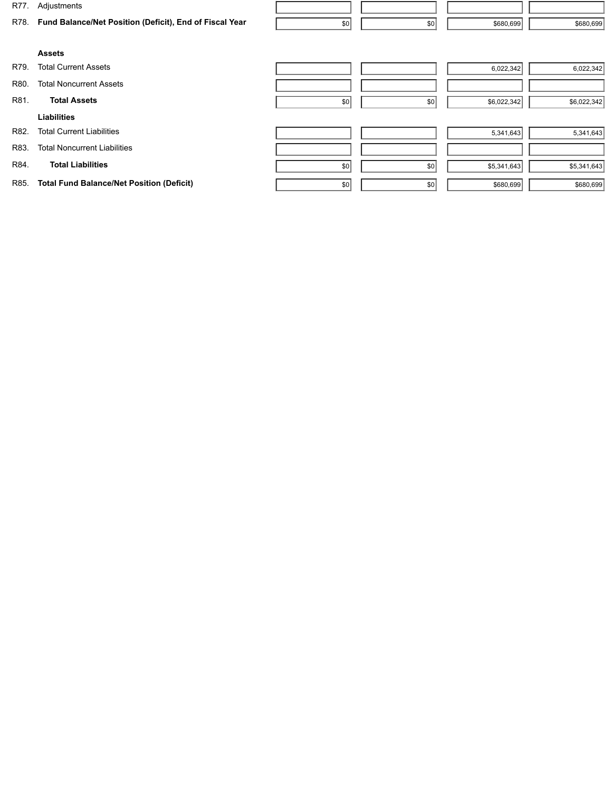| R77. | Adjustments                                             |     |     |             |             |
|------|---------------------------------------------------------|-----|-----|-------------|-------------|
| R78. | Fund Balance/Net Position (Deficit), End of Fiscal Year | \$0 | \$0 | \$680,699   | \$680,699   |
|      |                                                         |     |     |             |             |
|      | <b>Assets</b>                                           |     |     |             |             |
| R79. | <b>Total Current Assets</b>                             |     |     | 6,022,342   | 6,022,342   |
| R80. | <b>Total Noncurrent Assets</b>                          |     |     |             |             |
| R81. | <b>Total Assets</b>                                     | \$0 | \$0 | \$6,022,342 | \$6,022,342 |
|      | <b>Liabilities</b>                                      |     |     |             |             |
| R82. | <b>Total Current Liabilities</b>                        |     |     | 5,341,643   | 5,341,643   |
| R83. | <b>Total Noncurrent Liabilities</b>                     |     |     |             |             |
| R84. | <b>Total Liabilities</b>                                | \$0 | \$0 | \$5,341,643 | \$5,341,643 |
| R85. | <b>Total Fund Balance/Net Position (Deficit)</b>        | \$0 | \$0 | \$680,699   | \$680,699   |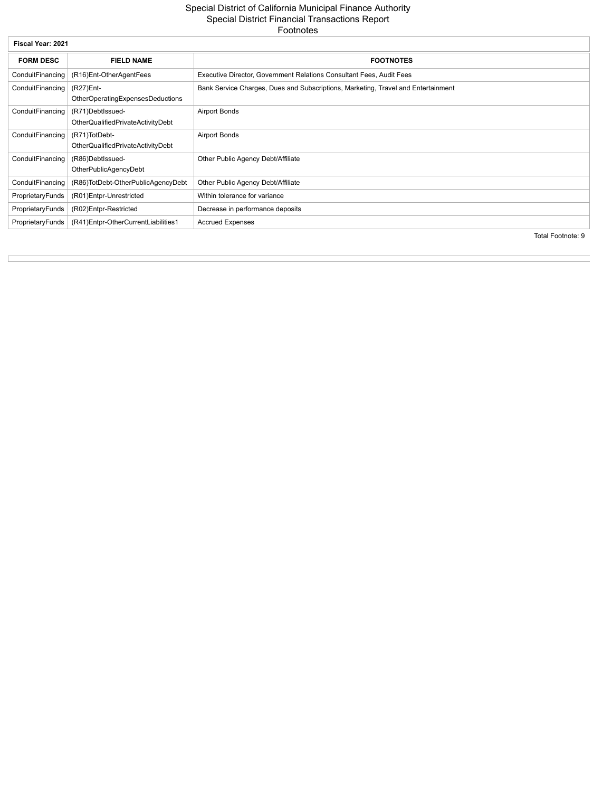#### Special District of California Municipal Finance Authority Special District Financial Transactions Report Footnotes

| Fiscal Year: 2021 |                                                       |                                                                                   |  |  |  |
|-------------------|-------------------------------------------------------|-----------------------------------------------------------------------------------|--|--|--|
| <b>FORM DESC</b>  | <b>FIELD NAME</b>                                     | <b>FOOTNOTES</b>                                                                  |  |  |  |
| ConduitFinancing  | (R16)Ent-OtherAgentFees                               | Executive Director, Government Relations Consultant Fees, Audit Fees              |  |  |  |
| ConduitFinancing  | (R27)Ent-<br>OtherOperatingExpensesDeductions         | Bank Service Charges, Dues and Subscriptions, Marketing, Travel and Entertainment |  |  |  |
| ConduitFinancing  | (R71)DebtIssued-<br>OtherQualifiedPrivateActivityDebt | <b>Airport Bonds</b>                                                              |  |  |  |
| ConduitFinancing  | (R71)TotDebt-<br>OtherQualifiedPrivateActivityDebt    | <b>Airport Bonds</b>                                                              |  |  |  |
| ConduitFinancing  | (R86)DebtIssued-<br>OtherPublicAgencyDebt             | Other Public Agency Debt/Affiliate                                                |  |  |  |
| ConduitFinancing  | (R86)TotDebt-OtherPublicAgencyDebt                    | Other Public Agency Debt/Affiliate                                                |  |  |  |
| ProprietaryFunds  | (R01)Entpr-Unrestricted                               | Within tolerance for variance                                                     |  |  |  |
| ProprietaryFunds  | (R02)Entpr-Restricted                                 | Decrease in performance deposits                                                  |  |  |  |
| ProprietaryFunds  | (R41)Entpr-OtherCurrentLiabilities1                   | <b>Accrued Expenses</b><br>$T - 1 = 1$ $T - 1 = 1$                                |  |  |  |

Total Footnote: 9